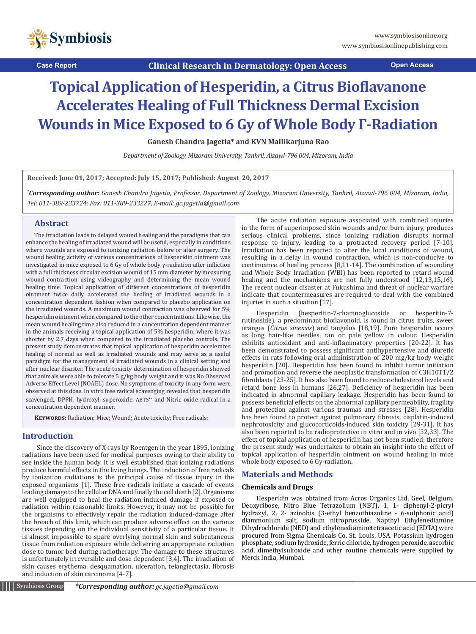

**Case Report Clinical Research in Dermatology: Open Access Open Access**

# **Topical Application of Hesperidin, a Citrus Bioflavanone Accelerates Healing of Full Thickness Dermal Excision Wounds in Mice Exposed to 6 Gy of Whole Body Γ-Radiation**

**Ganesh Chandra Jagetia\* and KVN Mallikarjuna Rao**

*Department of Zoology, Mizoram University, Tanhril, Aizawl-796 004, Mizoram, India*

**Received: June 01, 2017; Accepted: July 15, 2017; Published: August 20, 2017**

*\* Corresponding author: Ganesh Chandra Jagetia, Professor, Department of Zoology, Mizoram University, Tanhril, Aizawl-796 004, Mizoram, India, Tel: 011-389-233724; Fax: 011-389-233227, E-mail: gc.jagetia@gmail.com*

# **Abstract**

The irradiation leads to delayed wound healing and the paradigms that can enhance the healing of irradiated wound will be useful, especially in conditions where wounds are exposed to ionizing radiation before or after surgery. The wound healing activity of various concentrations of hesperidin ointment was investigated in mice exposed to 6 Gy of whole body γ-radiation after infliction with a full thickness circular excision wound of 15 mm diameter by measuring wound contraction using videography and determining the mean wound healing time. Topical application of different concentrations of hesperidin ointment twice daily accelerated the healing of irradiated wounds in a concentration dependent fashion when compared to placebo application on the irradiated wounds. A maximum wound contraction was observed for 5% hesperidin ointment when compared to the other concentrations. Likewise, the mean wound healing time also reduced in a concentration dependent manner in the animals receiving a topical application of 5% hesperidin, where it was shorter by 2.7 days when compared to the irradiated placebo controls. The present study demonstrates that topical application of hesperidin accelerates healing of normal as well as irradiated wounds and may serve as a useful paradigm for the management of irradiated wounds in a clinical setting and after nuclear disaster. The acute toxicity determination of hesperidin showed that animals were able to tolerate 5 g/kg body weight and it was No Observed Adverse Effect Level (NOAEL) dose. No symptoms of toxicity in any form were observed at this dose. In vitro free radical scavenging revealed that hesperidin scavenged,, DPPH, hydroxyl, superoxide, ABTS<sup>+</sup> and Nitric oxide radical in a concentration dependent manner.

KEYWORDS: Radiation; Mice; Wound; Acute toxicity; Free radicals;

# **Introduction**

Since the discovery of X-rays by Roentgen in the year 1895, ionizing radiations have been used for medical purposes owing to their ability to see inside the human body. It is well established that ionizing radiations produce harmful effects in the living beings. The induction of free radicals by ionization radiations is the principal cause of tissue injury in the exposed organisms [1]. These free radicals initiate a cascade of events leading damage to the cellular DNA and finally the cell death [2]. Organisms are well equipped to heal the radiation-induced damage if exposed to radiation within reasonable limits. However, it may not be possible for the organisms to effectively repair the radiation induced-damage after the breach of this limit, which can produce adverse effect on the various tissues depending on the individual sensitivity of a particular tissue. It is almost impossible to spare overlying normal skin and subcutaneous tissue from radiation exposure while delivering an appropriate radiation dose to tumor bed during radiotherapy. The damage to these structures is unfortunately irreversible and dose dependent [3,4]. The irradiation of skin causes erythema, desquamation, ulceration, telangiectasia, fibrosis and induction of skin carcinoma [4-7].

Symbiosis Group *\*Corresponding author: gc.jagetia@gmail.com*

The acute radiation exposure associated with combined injuries in the form of superimposed skin wounds and/or burn injury, produces serious clinical problems, since ionizing radiation disrupts normal response to injury, leading to a protracted recovery period [7-10]. Irradiation has been reported to alter the local conditions of wound, resulting in a delay in wound contraction, which is non-conducive to continuance of healing process [8,11-14]. The combination of wounding and Whole Body Irradiation (WBI) has been reported to retard wound healing and the mechanisms are not fully understood [12,13,15,16]. The recent nuclear disaster at Fukushima and threat of nuclear warfare indicate that countermeasures are required to deal with the combined injuries in such a situation [17].

Hesperidin (hesperitin-7-rhamnoglucoside or hesperitin-7 rutinoside), a predominant bioflavonoid, is found in citrus fruits, sweet oranges (*Citrus sinensis*) and tangelos [18,19]. Pure hesperidin occurs as long hair-like needles, tan or pale yellow in colour. Hesperidin exhibits antioxidant and anti-inflammatory properties [20-22]. It has been demonstrated to possess significant antihypertensive and diuretic effects in rats following oral administration of 200 mg/kg body weight hesperidin [20]. Hesperidin has been found to inhibit tumor initiation and promotion and reverse the neoplastic transformation of C3H10T1/2 fibroblasts [23-25]. It has also been found to reduce cholesterol levels and retard bone loss in humans [26,27]. Deficiency of hesperidin has been indicated in abnormal capillary leakage. Hesperidin has been found to possess beneficial effects on the abnormal capillary permeability, fragility and protection against various traumas and stresses [28]. Hesperidin has been found to protect against pulmonary fibrosis, cisplatin-induced nephrotoxicity and glucocorticoids-induced skin toxicity [29-31]. It has also been reported to be radioprotective in vitro and in vivo [32,33]. The effect of topical application of hesperidin has not been studied; therefore the present study was undertaken to obtain an insight into the effect of topical application of hesperidin ointment on wound healing in mice whole body exposed to 6 Gy-radiation.

# **Materials and Methods**

## **Chemicals and Drugs**

Hesperidin was obtained from Acros Organics Ltd, Geel, Belgium. Deoxyribose, Nitro Blue Tetrazolium (NBT), 1, 1- diphenyl-2-picryl hydrazyl, 2, 2- azinobis (3-ethyl benzothiazoline - 6-sulphonic acid) diammonium salt, sodium nitroprusside, Napthyl Ethylenediamine Dihydrochloride (NED) and ethylenediaminetetraacetic acid (EDTA) were procured from Sigma Chemicals Co. St. Louis, USA. Potassium hydrogen phosphate, sodium hydroxide, ferric chloride, hydrogen peroxide, ascorbic acid, dimethylsulfoxide and other routine chemicals were supplied by Merck India, Mumbai.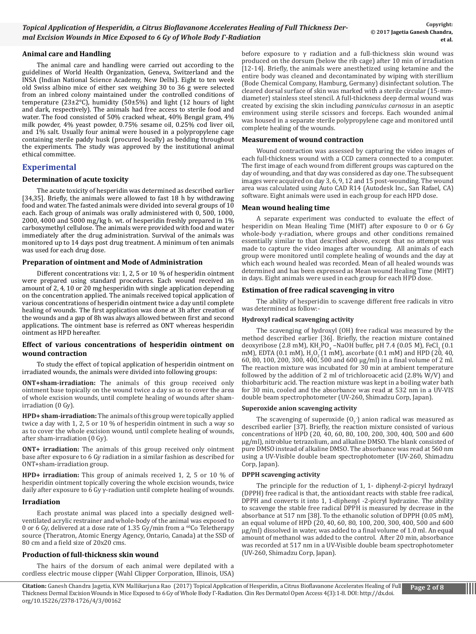**Citation:** Ganesh Chandra Jagetia, KVN Mallikarjuna Rao (2017) Topical Application of Hesperidin, a Citrus Bioflavanone Accelerates Healing of Full Thickness Dermal Excision Wounds in Mice Exposed to 6 Gy of Whole Body Γ-Radiation. Clin Res Dermatol Open Access 4(3):1-8. DOI: http://dx.doi. org/10.15226/2378-1726/4/3/00162

## **Animal care and Handling**

The animal care and handling were carried out according to the guidelines of World Health Organization, Geneva, Switzerland and the INSA (Indian National Science Academy, New Delhi). Eight to ten week old Swiss albino mice of either sex weighing 30 to 36 g were selected from an inbred colony maintained under the controlled conditions of temperature (23±2°C), humidity (50±5%) and light (12 hours of light and dark, respectively). The animals had free access to sterile food and water. The food consisted of 50% cracked wheat, 40% Bengal gram, 4% milk powder, 4% yeast powder, 0.75% sesame oil, 0.25% cod liver oil, and 1% salt. Usually four animal were housed in a polypropylene cage containing sterile paddy husk (procured locally) as bedding throughout the experiments. The study was approved by the institutional animal ethical committee.

# **Experimental**

## **Determination of acute toxicity**

The acute toxicity of hesperidin was determined as described earlier [34,35]. Briefly, the animals were allowed to fast 18 h by withdrawing food and water. The fasted animals were divided into several groups of 10 each. Each group of animals was orally administered with 0, 500, 1000, 2000, 4000 and 5000 mg/kg b. wt. of hesperidin freshly prepared in 1% carboxymethyl cellulose. The animals were provided with food and water immediately after the drug administration. Survival of the animals was monitored up to 14 days post drug treatment. A minimum of ten animals was used for each drug dose.

## **Preparation of ointment and Mode of Administration**

Different concentrations viz: 1, 2, 5 or 10 % of hesperidin ointment were prepared using standard procedures. Each wound received an amount of 2, 4, 10 or 20 mg hesperidin with single application depending on the concentration applied. The animals received topical application of various concentrations of hesperidin ointment twice a day until complete healing of wounds. The first application was done at 3h after creation of the wounds and a gap of 8h was always allowed between first and second applications. The ointment base is referred as ONT whereas hesperidin ointment as HPD hereafter.

#### **Effect of various concentrations of hesperidin ointment on wound contraction**

To study the effect of topical application of hesperidin ointment on irradiated wounds, the animals were divided into following groups:

**ONT+sham-irradiation:** The animals of this group received only ointment base topically on the wound twice a day so as to cover the area of whole excision wounds, until complete healing of wounds after shamirradiation (0 Gy).

**HPD+ sham-irradiation:** The animals of this group were topically applied twice a day with 1, 2, 5 or 10 % of hesperidin ointment in such a way so as to cover the whole excision wound, until complete healing of wounds, after sham-irradiation (0 Gy).

**ONT+ irradiation:** The animals of this group received only ointment base after exposure to 6 Gy radiation in a similar fashion as described for ONT+sham-irradiation group.

**HPD+ irradiation:** This group of animals received 1, 2, 5 or 10 % of hesperidin ointment topically covering the whole excision wounds, twice daily after exposure to 6 Gy γ-radiation until complete healing of wounds.

## **Irradiation**

Each prostate animal was placed into a specially designed wellventilated acrylic restrainer and whole-body of the animal was exposed to 0 or 6 Gy, delivered at a dose rate of 1.35 Gy/min from a  $^{60}$ Co Teletherapy source (Theratron, Atomic Energy Agency, Ontario, Canada) at the SSD of 80 cm and a field size of 20x20 cms.

## **Production of full-thickness skin wound**

The hairs of the dorsum of each animal were depilated with a cordless electric mouse clipper (Wahl Clipper Corporation, Illinois, USA)

before exposure to  $\gamma$  radiation and a full-thickness skin wound was produced on the dorsum (below the rib cage) after 10 min of irradiation [12-14]. Briefly, the animals were anesthetized using ketamine and the entire body was cleaned and decontaminated by wiping with sterillium (Bode Chemical Company, Hamburg, Germany) disinfectant solution. The cleared dorsal surface of skin was marked with a sterile circular (15-mmdiameter) stainless steel stencil. A full-thickness deep dermal wound was created by excising the skin including *panniculus carnosus* in an aseptic environment using sterile scissors and forceps. Each wounded animal was housed in a separate sterile polypropylene cage and monitored until complete healing of the wounds.

## **Measurement of wound contraction**

Wound contraction was assessed by capturing the video images of each full-thickness wound with a CCD camera connected to a computer. The first image of each wound from different groups was captured on the day of wounding, and that day was considered as day one. The subsequent images were acquired on day 3, 6, 9, 12 and 15 post-wounding. The wound area was calculated using Auto CAD R14 (Autodesk Inc., San Rafael, CA) software. Eight animals were used in each group for each HPD dose.

## **Mean wound healing time**

A separate experiment was conducted to evaluate the effect of hesperidin on Mean Healing Time (MHT) after exposure to 0 or 6 Gy whole-body γ-radiation, where groups and other conditions remained essentially similar to that described above, except that no attempt was made to capture the video images after wounding. All animals of each group were monitored until complete healing of wounds and the day at which each wound healed was recorded. Mean of all healed wounds was determined and has been expressed as Mean wound Healing Time (MHT) in days. Eight animals were used in each group for each HPD dose.

## **Estimation of free radical scavenging in vitro**

The ability of hesperidin to scavenge different free radicals in vitro was determined as follow:-

## **Hydroxyl radical scavenging activity**

The scavenging of hydroxyl (OH) free radical was measured by the method described earlier [36]. Briefly, the reaction mixture contained deoxyribose (2.8 mM), KH<sub>2</sub>PO<sub>4</sub> – NaOH buffer, pH 7.4 (0.05 M), FeCl<sub>3</sub> (0.1) mM), EDTA (0.1 mM), H<sub>2</sub>O<sub>2</sub> (1 mM), ascorbate (0.1 mM) and HPD (20, 40, h) and the contract of the contract of the contract of the contract of the contract of the contract of the contract of the contract of the contract 60, 80, 100, 200, 300, 400, 500 and 600 μg/ml) in a final volume of 2 ml. The reaction mixture was incubated for 30 min at ambient temperature followed by the addition of 2 ml of trichloroacetic acid (2.8% W/V) and thiobarbituric acid. The reaction mixture was kept in a boiling water bath for 30 min, cooled and the absorbance was read at 532 nm in a UV-VIS double beam spectrophotometer (UV-260, Shimadzu Corp, Japan).

#### **Superoxide anion scavenging activity**

The scavenging of superoxide  $(0<sub>2</sub>)$  anion radical was measured as described earlier [37]. Briefly, the reaction mixture consisted of various concentrations of HPD (20, 40, 60, 80, 100, 200, 300, 400, 500 and 600 μg/ml), nitroblue tetrazolium, and alkaline DMSO. The blank consisted of pure DMSO instead of alkaline DMSO. The absorbance was read at 560 nm using a UV-Visible double beam spectrophotometer (UV-260, Shimadzu Corp, Japan).

#### **DPPH scavenging activity**

The principle for the reduction of 1, 1- diphenyl-2-picryl hydrazyl (DPPH) free radical is that, the antioxidant reacts with stable free radical, DPPH and converts it into 1, 1-diphenyl -2-picryl hydrazine. The ability to scavenge the stable free radical DPPH is measured by decrease in the absorbance at 517 nm [38]. To the ethanolic solution of DPPH (0.05 mM), an equal volume of HPD (20, 40, 60, 80, 100, 200, 300, 400, 500 and 600 μg/ml) dissolved in water, was added to a final volume of 1.0 ml. An equal amount of methanol was added to the control. After 20 min, absorbance was recorded at 517 nm in a UV-Visible double beam spectrophotometer (UV-260, Shimadzu Corp, Japan).

Ш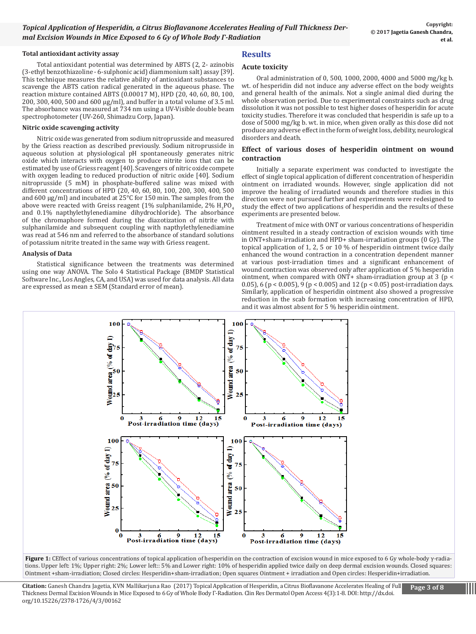## **Total antioxidant activity assay**

Total antioxidant potential was determined by ABTS (2, 2- azinobis (3-ethyl benzothiazoline - 6-sulphonic acid) diammonium salt) assay [39]. This technique measures the relative ability of antioxidant substances to scavenge the ABTS cation radical generated in the aqueous phase. The reaction mixture contained ABTS (0.00017 M), HPD (20, 40, 60, 80, 100, 200, 300, 400, 500 and 600 μg/ml), and buffer in a total volume of 3.5 ml. The absorbance was measured at 734 nm using a UV-Visible double beam spectrophotometer (UV-260, Shimadzu Corp, Japan).

## **Nitric oxide scavenging activity**

Nitric oxide was generated from sodium nitroprusside and measured by the Griess reaction as described previously. Sodium nitroprusside in aqueous solution at physiological pH spontaneously generates nitric oxide which interacts with oxygen to produce nitrite ions that can be estimated by use of Griess reagent [40]. Scavengers of nitric oxide compete with oxygen leading to reduced production of nitric oxide [40]. Sodium nitroprusside (5 mM) in phosphate-buffered saline was mixed with different concentrations of HPD (20, 40, 60, 80, 100, 200, 300, 400, 500 and 600 μg/ml) and incubated at 25°C for 150 min. The samples from the above were reacted with Greiss reagent  $(1\%$  sulphanilamide,  $2\%$   $\rm H_3PO_4$ and 0.1% napthylethylenediamine dihydrochloride). The absorbance of the chromaphore formed during the diazotization of nitrite with sulphanilamide and subsequent coupling with napthylethylenediamine was read at 546 nm and referred to the absorbance of standard solutions of potassium nitrite treated in the same way with Griess reagent.

#### **Analysis of Data**

Statistical significance between the treatments was determined using one way ANOVA. The Solo 4 Statistical Package (BMDP Statistical Software Inc., Los Angles, CA, and USA) was used for data analysis. All data are expressed as mean ± SEM (Standard error of mean).

# **Results**

## **Acute toxicity**

Oral administration of 0, 500, 1000, 2000, 4000 and 5000 mg/kg b. wt. of hesperidin did not induce any adverse effect on the body weights and general health of the animals. Not a single animal died during the whole observation period. Due to experimental constraints such as drug dissolution it was not possible to test higher doses of hesperidin for acute toxicity studies. Therefore it was concluded that hesperidin is safe up to a dose of 5000 mg/kg b. wt. in mice, when given orally as this dose did not produce any adverse effect in the form of weight loss, debility, neurological disorders and death.

## **Effect of various doses of hesperidin ointment on wound contraction**

Initially a separate experiment was conducted to investigate the effect of single topical application of different concentration of hesperidin ointment on irradiated wounds. However, single application did not improve the healing of irradiated wounds and therefore studies in this direction were not pursued further and experiments were redesigned to study the effect of two applications of hesperidin and the results of these experiments are presented below.

Treatment of mice with ONT or various concentrations of hesperidin ointment resulted in a steady contraction of excision wounds with time in ONT+sham-irradiation and HPD+ sham-irradiation groups (0 Gy). The topical application of 1, 2, 5 or 10 % of hesperidin ointment twice daily enhanced the wound contraction in a concentration dependent manner at various post-irradiation times and a significant enhancement of wound contraction was observed only after application of 5 % hesperidin ointment, when compared with ONT+ sham-irradiation group at 3 (p < 0.05), 6 (p < 0.005), 9 (p < 0.005) and 12 (p < 0.05) post-irradiation days. Similarly, application of hesperidin ointment also showed a progressive reduction in the scab formation with increasing concentration of HPD, and it was almost absent for 5 % hesperidin ointment.



**Figure 1:** CEffect of various concentrations of topical application of hesperidin on the contraction of excision wound in mice exposed to 6 Gy whole-body γ-radiations. Upper left: 1%; Upper right: 2%; Lower left:: 5% and Lower right: 10% of hesperidin applied twice daily on deep dermal excision wounds. Closed squares: Ointment +sham-irradiation; Closed circles: Hesperidin+sham-irradiation; Open squares Ointment + irradiation and Open circles: Hesperidin+irradiation.

**Citation:** Ganesh Chandra Jagetia, KVN Mallikarjuna Rao (2017) Topical Application of Hesperidin, a Citrus Bioflavanone Accelerates Healing of Full Thickness Dermal Excision Wounds in Mice Exposed to 6 Gy of Whole Body Γ-Radiation. Clin Res Dermatol Open Access 4(3):1-8. DOI: http://dx.doi. org/10.15226/2378-1726/4/3/00162

Ш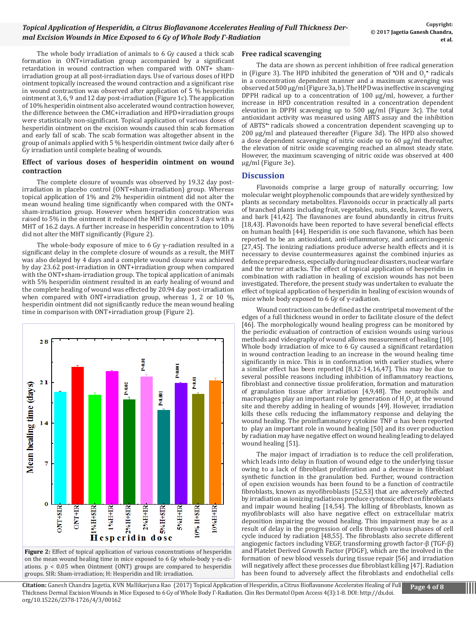The whole body irradiation of animals to 6 Gy caused a thick scab formation in ONT+irradiation group accompanied by a significant retardation in wound contraction when compared with ONT+ shamirradiation group at all post-irradiation days. Use of various doses of HPD ointment topically increased the wound contraction and a significant rise in wound contraction was observed after application of 5 % hesperidin ointment at 3, 6, 9 and 12 day post-irradiation (Figure 1c). The application of 10% hesperidin ointment also accelerated wound contraction however, the difference between the CMC+irradiation and HPD+irradiation groups were statistically non-significant. Topical application of various doses of hesperidin ointment on the excision wounds caused thin scab formation and early fall of scab. The scab formation was altogether absent in the group of animals applied with 5 % hesperidin ointment twice daily after 6 Gy irradiation until complete healing of wounds.

## **Effect of various doses of hesperidin ointment on wound contraction**

The complete closure of wounds was observed by 19.32 day postirradiation in placebo control (ONT+sham-irradiation) group. Whereas topical application of 1% and 2% hesperidin ointment did not alter the mean wound healing time significantly when compared with the ONT+ sham-irradiation group. However when hesperidin concentration was raised to 5% in the ointment it reduced the MHT by almost 3 days with a MHT of 16.2 days. A further increase in hesperidin concentration to 10% did not alter the MHT significantly (Figure 2).

The whole-body exposure of mice to 6 Gy  $\gamma$ -radiation resulted in a significant delay in the complete closure of wounds as a result, the MHT was also delayed by 4 days and a complete wound closure was achieved by day 23.62 post-irradiation in ONT+irradiation group when compared with the ONT+sham-irradiation group. The topical application of animals with 5% hesperidin ointment resulted in an early healing of wound and the complete healing of wound was effected by 20.94 day post-irradiation when compared with ONT+irradiation group, whereas 1, 2 or 10 %, hesperidin ointment did not significantly reduce the mean wound healing time in comparison with ONT+irradiation group (Figure 2).



on the mean wound healing time in mice exposed to 6 Gy whole-body γ-ra-diations.  $p < 0.05$  when Ointment (ONT) groups are compared to hesperidin groups. SIR: Sham-irradiation; H: Hesperidin and IR: irradiation.

## **Free radical scavenging**

The data are shown as percent inhibition of free radical generation in (Figure 3). The HPD inhibited the generation of  $\textdegree$ OH and O<sub>2</sub> $\textdegree$  radicals in a concentration dependent manner and a maximum scavenging was observed at 500 µg/ml (Figure 3a, b). The HPD was ineffective in scavenging DPPH radical up to a concentration of 100 µg/ml, however, a further increase in HPD concentration resulted in a concentration dependent elevation in DPPH scavenging up to 500 µg/ml (Figure 3c). The total antioxidant activity was measured using ABTS assay and the inhibition of ABTS\*+ radicals showed a concentration dependent scavenging up to 200 µg/ml and plateaued thereafter (Figure 3d). The HPD also showed a dose dependent scavenging of nitric oxide up to 60 µg/ml thereafter, the elevation of nitric oxide scavenging reached an almost steady state. However, the maximum scavenging of nitric oxide was observed at 400 µg/ml (Figure 3e).

# **Discussion**

Flavonoids comprise a large group of naturally occurring; low molecular weight ployphenolic compounds that are widely synthesized by plants as secondary metabolites. Flavonoids occur in practically all parts of branched plants including fruit, vegetables, nuts, seeds, leaves, flowers, and bark [41,42]. The flavanones are found abundantly in citrus fruits [18,43]. Flavonoids have been reported to have several beneficial effects on human health [44]. Hesperidin is one such flavanone, which has been reported to be an antioxidant, anti-inflammatory, and anticarcinogenic [27,45]. The ionizing radiations produce adverse health effects and it is necessary to devise countermeasures against the combined injuries as defence preparedness, especially during nuclear disasters, nuclear warfare and the terror attacks. The effect of topical application of hesperidin in combination with radiation in healing of excision wounds has not been investigated. Therefore, the present study was undertaken to evaluate the effect of topical application of hesperidin in healing of excision wounds of mice whole body exposed to 6 Gy of  $\gamma$ -radiation.

Wound contraction can be defined as the centripetal movement of the edges of a full thickness wound in order to facilitate closure of the defect [46]. The morphologically wound healing progress can be monitored by the periodic evaluation of contraction of excision wounds using various methods and videography of wound allows measurement of healing [10]. Whole body irradiation of mice to 6 Gy caused a significant retardation in wound contraction leading to an increase in the wound healing time significantly in mice. This is in conformation with earlier studies, where a similar effect has been reported [8,12-14,16,47]. This may be due to several possible reasons including inhibition of inflammatory reactions, fibroblast and connective tissue proliferation, formation and maturation of granulation tissue after irradiation [4,9,48]. The neutrophils and macrophages play an important role by generation of  $H_2O_2$  at the wound site and thereby adding in healing of wounds [49]. However, irradiation kills these cells reducing the inflammatory response and delaying the wound healing. The proinflammatory cytokine TNF  $\alpha$  has been reported to play an important role in wound healing [50] and its over production by radiation may have negative effect on wound healing leading to delayed wound healing [51].

The major impact of irradiation is to reduce the cell proliferation, which leads into delay in fixation of wound edge to the underlying tissue owing to a lack of fibroblast proliferation and a decrease in fibroblast synthetic function in the granulation bed. Further, wound contraction of open excision wounds has been found to be a function of contractile fibroblasts, known as myofibroblasts [52,53] that are adversely affected by irradiation as ionizing radiations produce cytotoxic effect on fibroblasts and impair wound healing [14,54]. The killing of fibroblasts, known as myofibroblasts will also have negative effect on extracellular matrix deposition impairing the wound healing. This impairment may be as a result of delay in the progression of cells through various phases of cell cycle induced by radiation [48,55]. The fibroblasts also secrete different angiogenic factors including VEGF, transforming growth factor-β (TGF-β) and Platelet Derived Growth Factor (PDGF), which are the involved in the formation of new blood vessels during tissue repair [56] and irradiation will negatively affect these processes due fibroblast killing [47]. Radiation has been found to adversely affect the fibroblasts and endothelial cells

**Citation:** Ganesh Chandra Jagetia, KVN Mallikarjuna Rao (2017) Topical Application of Hesperidin, a Citrus Bioflavanone Accelerates Healing of Full Thickness Dermal Excision Wounds in Mice Exposed to 6 Gy of Whole Body Γ-Radiation. Clin Res Dermatol Open Access 4(3):1-8. DOI: http://dx.doi. org/10.15226/2378-1726/4/3/00162

Ш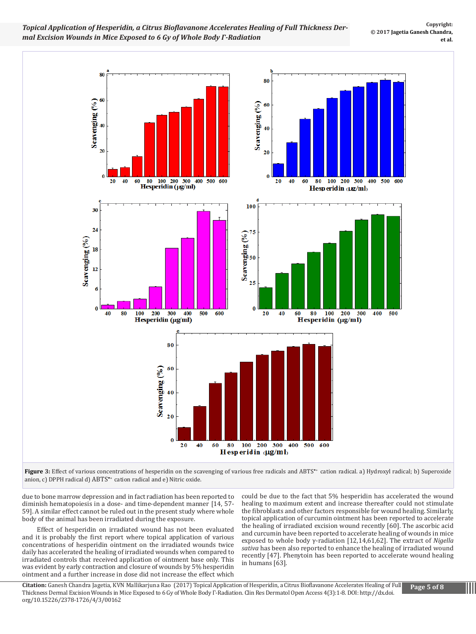*Topical Application of Hesperidin, a Citrus Bioflavanone Accelerates Healing of Full Thickness Dermal Excision Wounds in Mice Exposed to 6 Gy of Whole Body Γ-Radiation*



Figure 3: Effect of various concentrations of hesperidin on the scavenging of various free radicals and ABTS<sup>\*+</sup> cation radical. a) Hydroxyl radical; b) Superoxide anion, c) DPPH radical d) ABTS\*+ cation radical and e) Nitric oxide.

due to bone marrow depression and in fact radiation has been reported to diminish hematopoiesis in a dose- and time-dependent manner [14, 57- 59]. A similar effect cannot be ruled out in the present study where whole body of the animal has been irradiated during the exposure.

Effect of hesperidin on irradiated wound has not been evaluated and it is probably the first report where topical application of various concentrations of hesperidin ointment on the irradiated wounds twice daily has accelerated the healing of irradiated wounds when compared to irradiated controls that received application of ointment base only. This was evident by early contraction and closure of wounds by 5% hesperidin ointment and a further increase in dose did not increase the effect which

could be due to the fact that 5% hesperidin has accelerated the wound healing to maximum extent and increase thereafter could not stimulate the fibroblasts and other factors responsible for wound healing. Similarly, topical application of curcumin ointment has been reported to accelerate the healing of irradiated excision wound recently [60]. The ascorbic acid and curcumin have been reported to accelerate healing of wounds in mice exposed to whole body γ-radiation [12,14,61,62]. The extract of *Nigella sativa* has been also reported to enhance the healing of irradiated wound recently [47]. Phenytoin has been reported to accelerate wound healing in humans [63].

**Citation:** Ganesh Chandra Jagetia, KVN Mallikarjuna Rao (2017) Topical Application of Hesperidin, a Citrus Bioflavanone Accelerates Healing of Full Thickness Dermal Excision Wounds in Mice Exposed to 6 Gy of Whole Body Γ-Radiation. Clin Res Dermatol Open Access 4(3):1-8. DOI: http://dx.doi. org/10.15226/2378-1726/4/3/00162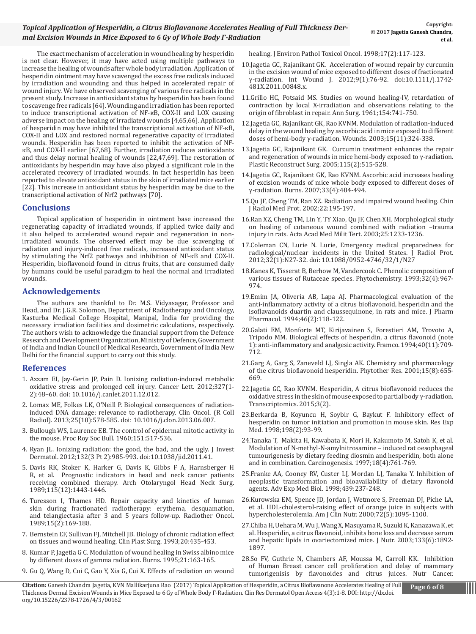# *Topical Application of Hesperidin, a Citrus Bioflavanone Accelerates Healing of Full Thickness Dermal Excision Wounds in Mice Exposed to 6 Gy of Whole Body Γ-Radiation*

The exact mechanism of acceleration in wound healing by hesperidin is not clear. However, it may have acted using multiple pathways to increase the healing of wounds after whole body irradiation. Application of hesperidin ointment may have scavenged the excess free radicals induced by irradiation and wounding and thus helped in accelerated repair of wound injury. We have observed scavenging of various free radicals in the present study. Increase in antioxidant status by hesperidin has been found to scavenge free radicals [64]. Wounding and irradiation has been reported to induce transcriptional activation of NF-кB, COX-II and LOX causing adverse impact on the healing of irradiated wounds [4,65,66]. Application of hesperidin may have inhibited the transcriptional activation of NF-кB, COX-II and LOX and restored normal regenerative capacity of irradiated wounds. Hesperidin has been reported to inhibit the activation of NFкB, and COX-II earlier [67,68]. Further, irradiation reduces antioxidants and thus delay normal healing of wounds [22,47,69]. The restoration of antioxidants by hesperidin may have also played a significant role in the accelerated recovery of irradiated wounds. In fact hesperidin has been reported to elevate antioxidant status in the skin of irradiated mice earlier [22]. This increase in antioxidant status by hesperidin may be due to the transcriptional activation of Nrf2 pathways [70].

## **Conclusions**

Topical application of hesperidin in ointment base increased the regenerating capacity of irradiated wounds, if applied twice daily and it also helped to accelerated wound repair and regeneration in nonirradiated wounds. The observed effect may be due scavenging of radiation and injury-induced free radicals, increased antioxidant status by stimulating the Nrf2 pathways and inhibition of NF-кB and COX-II. Hesperidin, bioflavonoid found in citrus fruits, that are consumed daily by humans could be useful paradigm to heal the normal and irradiated wounds.

## **Acknowledgements**

The authors are thankful to Dr. M.S. Vidyasagar, Professor and Head, and Dr. J.G.R. Solomon, Department of Radiotherapy and Oncology, Kasturba Medical College Hospital, Manipal, India for providing the necessary irradiation facilities and dosimetric calculations, respectively. The authors wish to acknowledge the financial support from the Defence Research and Development Organization, Ministry of Defence, Government of India and Indian Council of Medical Research, Government of India New Delhi for the financial support to carry out this study.

## **References**

- 1. [Azzam EI, Jay-Gerin JP, Pain D. Ionizing radiation-induced metabolic](https://www.ncbi.nlm.nih.gov/pubmed/22182453)  [oxidative stress and prolonged cell injury. Cancer Lett. 2012;327\(1-](https://www.ncbi.nlm.nih.gov/pubmed/22182453) [2\):48–60. doi: 10.1016/j.canlet.2011.12.012.](https://www.ncbi.nlm.nih.gov/pubmed/22182453)
- 2. [Lomax ME, Folkes LK, O'Neill P. Biological consequences of radiation](https://www.ncbi.nlm.nih.gov/pubmed/23849504)[induced DNA damage: relevance to radiotherapy. Clin Oncol. \(R Coll](https://www.ncbi.nlm.nih.gov/pubmed/23849504)  [Radiol\). 2013;25\(10\):578-585. doi: 10.1016/j.clon.2013.06.007.](https://www.ncbi.nlm.nih.gov/pubmed/23849504)
- 3. [Bullough WS, Laurence EB. The control of epidermal mitotic activity in](https://www.ncbi.nlm.nih.gov/pubmed/13849231)  [the mouse. Proc Roy Soc Bull. 1960;151:517-536.](https://www.ncbi.nlm.nih.gov/pubmed/13849231)
- 4. [Ryan JL. Ionizing radiation: the good, the bad, and the ugly. J Invest](https://www.ncbi.nlm.nih.gov/pubmed/22217743) [Dermatol. 2012;132\(3 Pt 2\):985-993. doi:10.1038/jid.2011.41.](https://www.ncbi.nlm.nih.gov/pubmed/22217743)
- 5. [Davis RK, Stoker K, Harker G, Davis K, Gibbs F A, Harnsberger H](https://www.ncbi.nlm.nih.gov/pubmed/2573381) [R, et al. Prognostic indicators in head and neck cancer patients](https://www.ncbi.nlm.nih.gov/pubmed/2573381)  [receiving combined therapy. Arch Otolaryngol Head Neck Surg.](https://www.ncbi.nlm.nih.gov/pubmed/2573381)  [1989;115\(12\):1443-1446.](https://www.ncbi.nlm.nih.gov/pubmed/2573381)
- 6. [Turesson I, Thames HD. Repair capacity and kinetics of human](https://www.ncbi.nlm.nih.gov/pubmed/2762590)  [skin during fractionated radiotherapy: erythema, desquamation,](https://www.ncbi.nlm.nih.gov/pubmed/2762590) [and telangiectasia after 3 and 5 years follow-up. Radiother Oncol.](https://www.ncbi.nlm.nih.gov/pubmed/2762590)  [1989;15\(2\):169-188.](https://www.ncbi.nlm.nih.gov/pubmed/2762590)
- 7. [Bernstein EF, Sullivan FJ, Mitchell JB. Biology of chronic radiation effect](https://www.ncbi.nlm.nih.gov/pubmed/8324983)  [on tissues and wound healing. Clin Plast Surg. 1993;20:435-453.](https://www.ncbi.nlm.nih.gov/pubmed/8324983)
- 8. [Kumar P, Jagetia G C. Modulation of wound healing in Swiss albino mice](https://www.ncbi.nlm.nih.gov/pubmed/7794494) [by different doses of gamma radiation. Burns. 1995;21:163-165.](https://www.ncbi.nlm.nih.gov/pubmed/7794494)
- 9. [Gu Q, Wang D, Cui C, Gao Y, Xia G, Cui X. Effects of radiation on wound](https://www.ncbi.nlm.nih.gov/pubmed/9546747)

[healing. J Environ Pathol Toxicol Oncol. 1998;17\(2\):117-123.](https://www.ncbi.nlm.nih.gov/pubmed/9546747)

- 1[0.Jagetia GC, Rajanikant GK. Acceleration of wound repair by curcumin](https://www.ncbi.nlm.nih.gov/pubmed/21883936)  [in the excision wound of mice exposed to different doses of fractionated](https://www.ncbi.nlm.nih.gov/pubmed/21883936) [γ-radiation. Int Wound J. 2012;9\(1\):76-92. doi:10.1111/j.1742-](https://www.ncbi.nlm.nih.gov/pubmed/21883936) [481X.2011.00848.x.](https://www.ncbi.nlm.nih.gov/pubmed/21883936)
- 11[.Grillo HC, Potsaid MS. Studies on wound healing-IV, retardation of](https://www.ncbi.nlm.nih.gov/pmc/articles/PMC1465954/) [contraction by local X-irradiation and observations relating to the](https://www.ncbi.nlm.nih.gov/pmc/articles/PMC1465954/) [origin of fibroblast in repair. Ann Surg. 1961;154:741-750.](https://www.ncbi.nlm.nih.gov/pmc/articles/PMC1465954/)
- 12.[Jagetia GC, Rajanikant GK, Rao KVNM. Modulation of radiation-induced](http://www.woundsresearch.com/article/2150) [delay in the wound healing by ascorbic acid in mice exposed to different](http://www.woundsresearch.com/article/2150) [doses of hemi-body γ-radiation. Wounds. 2003;15\(11\):324-338.](http://www.woundsresearch.com/article/2150)
- 13[.Jagetia GC, Rajanikant GK. Curcumin treatment enhances the repair](https://www.ncbi.nlm.nih.gov/pubmed/15692358)  [and regeneration of wounds in mice hemi-body exposed to γ-radiation.](https://www.ncbi.nlm.nih.gov/pubmed/15692358)  [Plastic Reconstruct Surg. 2005;115\(2\):515-528.](https://www.ncbi.nlm.nih.gov/pubmed/15692358)
- 14[.Jagetia GC, Rajanikant GK, Rao KVNM. Ascorbic acid increases healing](https://www.ncbi.nlm.nih.gov/pubmed/17223272)  [of excision wounds of mice whole body exposed to different doses of](https://www.ncbi.nlm.nih.gov/pubmed/17223272) [γ-radiation. Burns. 2007;33\(4\):484-494.](https://www.ncbi.nlm.nih.gov/pubmed/17223272)
- 15.Qu JF, Cheng TM, Ran XZ. Radiation and impaired wound healing. Chin J Radiol Med Prot. 2002;22:195-197.
- 16.Ran XZ, Cheng TM, Lin Y, TY Xiao, Qu JF, Chen XH. Morphological study on healing of cutaneous wound combined with radiation –trauma injury in rats. Acta Acad Med Milit Tert. 2003;25:1233-1236.
- 17[.Coleman CN, Lurie N. Lurie, Emergency medical preparedness for](https://www.ncbi.nlm.nih.gov/pubmed/22395159)  [radiological/nuclear incidents in the United States. J Radiol Prot.](https://www.ncbi.nlm.nih.gov/pubmed/22395159) [2012;32\(1\):N27-32. doi: 10.1088/0952-4746/32/1/N27](https://www.ncbi.nlm.nih.gov/pubmed/22395159)
- 18[.Kanes K, Tisserat B, Berhow M, Vandercook C. Phenolic composition of](http://www.sciencedirect.com/science/article/pii/003194229385237L) [various tissues of Rutaceae species. Phytochemistry. 1993;32\(4\):967-](http://www.sciencedirect.com/science/article/pii/003194229385237L) [974.](http://www.sciencedirect.com/science/article/pii/003194229385237L)
- 19.[Emim JA, Oliveria AB, Lapa AJ. Pharmacological evaluation of the](https://www.ncbi.nlm.nih.gov/pubmed/8021799) [anti-inflammatory activity of a citrus bioflavonoid, hesperidin and the](https://www.ncbi.nlm.nih.gov/pubmed/8021799) [isoflavanoids duartin and claussequinone, in rats and mice. J Pharm](https://www.ncbi.nlm.nih.gov/pubmed/8021799) [Pharmacol. 1994;46\(2\):118-122.](https://www.ncbi.nlm.nih.gov/pubmed/8021799)
- 20.[Galati EM, Monforte MT, Kirijavainen S, Forestieri AM, Trovoto A,](https://www.ncbi.nlm.nih.gov/pubmed/7832973)  [Tripodo MM. Biological effects of hesperidin, a citrus flavonoid \(note](https://www.ncbi.nlm.nih.gov/pubmed/7832973) [1\): anti-inflammatory and analgesic activity. Framco. 1994;40\(11\):709-](https://www.ncbi.nlm.nih.gov/pubmed/7832973) [712.](https://www.ncbi.nlm.nih.gov/pubmed/7832973)
- 21.[Garg A, Garg S, Zaneveld LJ, Singla AK. Chemistry and pharmacology](https://www.ncbi.nlm.nih.gov/pubmed/11746857)  [of the citrus bioflavonoid hesperidin. Phytother Res. 2001;15\(8\):655-](https://www.ncbi.nlm.nih.gov/pubmed/11746857) [669.](https://www.ncbi.nlm.nih.gov/pubmed/11746857)
- 22.J[agetia GC, Rao KVNM. Hesperidin, A citrus bioflavonoid reduces the](https://www.omicsonline.org/open-access/hesperidin-a-citrus-bioflavonoid-reduces-the-oxidative-stress-in-the-skinof-mouse-exposed-to-partial-body-radiation-2329-8936-1000111.php%3Faid%3D63529) oxidative stress in the skin of mouse exposed to partial body  $γ$ -radiation. [Transcriptomics. 2015;3\(2\).](https://www.omicsonline.org/open-access/hesperidin-a-citrus-bioflavonoid-reduces-the-oxidative-stress-in-the-skinof-mouse-exposed-to-partial-body-radiation-2329-8936-1000111.php%3Faid%3D63529)
- 23.[Berkarda B, Koyuncu H, Soybir G, Baykut F. Inhibitory effect of](https://link.springer.com/article/10.1007/s004330050093)  [hesperidin on tumor initiation and promotion in mouse skin. Res Exp](https://link.springer.com/article/10.1007/s004330050093)  [Med. 1998;198\(2\):93-99.](https://link.springer.com/article/10.1007/s004330050093)
- 24.[Tanaka T, Makita H, Kawabata K, Mori H, Kakumoto M, Satoh K, et al.](https://www.ncbi.nlm.nih.gov/pubmed/9111212)  [Modulation of N-methyl-N-amylnitrosamine – induced rat oesophageal](https://www.ncbi.nlm.nih.gov/pubmed/9111212)  [tumourigenesis by dietary feeding diosmin and hesperidin, both alone](https://www.ncbi.nlm.nih.gov/pubmed/9111212)  [and in combination. Carcinogenesis. 1997;18\(4\):761-769.](https://www.ncbi.nlm.nih.gov/pubmed/9111212)
- 25.[Franke AA, Cooney RV, Custer LJ, Mordan LJ, Tanaka Y. Inhibition of](https://www.ncbi.nlm.nih.gov/pubmed/9781307)  [neoplastic transformation and bioavailability of dietary flavonoid](https://www.ncbi.nlm.nih.gov/pubmed/9781307) [agents. Adv Exp Med Biol. 1998;439:237-248.](https://www.ncbi.nlm.nih.gov/pubmed/9781307)
- 26.K[urowska EM, Spence JD, Jordan J, Wetmore S, Freeman DJ, Piche LA,](https://www.ncbi.nlm.nih.gov/pubmed/11063434)  [et al. HDL-cholesterol-raising effect of orange juice in subjects with](https://www.ncbi.nlm.nih.gov/pubmed/11063434)  [hypercholesterolemia. Am J Clin Nutr. 2000;72\(5\):1095-1100.](https://www.ncbi.nlm.nih.gov/pubmed/11063434)
- 27.[Chiba H, Uehara M, Wu J, Wang X, Masuyama R, Suzuki K, Kanazawa K, et](http://jn.nutrition.org/content/133/6/1892.full)  [al. Hesperidin, a citrus flavonoid, inhibits bone loss and decrease serum](http://jn.nutrition.org/content/133/6/1892.full) [and hepatic lipids in ovariectomized mice. J Nutr. 2003;133\(6\):1892-](http://jn.nutrition.org/content/133/6/1892.full) [1897.](http://jn.nutrition.org/content/133/6/1892.full)
- 28[.So FV, Guthrie N, Chambers AF, Moussa M, Carroll KK. Inhibition](https://www.ncbi.nlm.nih.gov/pubmed/8875554)  [of Human Breast cancer cell proliferation and delay of mammary](https://www.ncbi.nlm.nih.gov/pubmed/8875554) [tumorigenisis by flavonoides and citrus juices. Nutr Cancer.](https://www.ncbi.nlm.nih.gov/pubmed/8875554)

**Citation:** Ganesh Chandra Jagetia, KVN Mallikarjuna Rao (2017) Topical Application of Hesperidin, a Citrus Bioflavanone Accelerates Healing of Full Thickness Dermal Excision Wounds in Mice Exposed to 6 Gy of Whole Body Γ-Radiation. Clin Res Dermatol Open Access 4(3):1-8. DOI: http://dx.doi. org/10.15226/2378-1726/4/3/00162 **Page 6 of 8**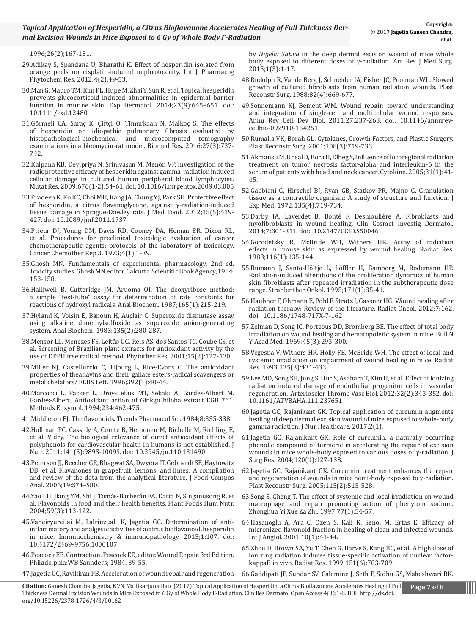[1996;26\(2\);167-181.](https://www.ncbi.nlm.nih.gov/pubmed/8875554)

- 29.[Adikay S, Spandana U, Bharathi K. Effect of hesperidin isolated from](http://impactfactor.org/PDF/IJPPR/4/IJPPR%2CVol4%2CIssue2%2CArticle3.pdf)  [orange peels on cisplatin-induced nephrotoxicity. Int J Pharmacog](http://impactfactor.org/PDF/IJPPR/4/IJPPR%2CVol4%2CIssue2%2CArticle3.pdf) [Phytochem Res. 2012;4\(2\):49-53.](http://impactfactor.org/PDF/IJPPR/4/IJPPR%2CVol4%2CIssue2%2CArticle3.pdf)
- 30.[Man G, Mauro TM, Kim PL, Hupe M, Zhai Y, Sun R, et al. Topical hesperidin](https://www.ncbi.nlm.nih.gov/pubmed/24980072) [prevents glucocorticoid-induced abnormalities in epidermal barrier](https://www.ncbi.nlm.nih.gov/pubmed/24980072)  [function in murine skin. Exp Dermatol. 2014;23\(9\):645–651. doi:](https://www.ncbi.nlm.nih.gov/pubmed/24980072) [10.1111/exd.12480](https://www.ncbi.nlm.nih.gov/pubmed/24980072)
- 31.[Görmeli CA, Saraç K, Çiftçi O, Timurkaan N, Malkoç S. The effects](http://www.biomedres.info/biomedical-research/the-effects-of-hesperidin-on-idiopathic-pulmonary-fibrosis-evaluated-by-histopathologialbiochemical-and-microcomputed-tomography-e.html) [of hesperidin on idiopathic pulmonary fibrosis evaluated by](http://www.biomedres.info/biomedical-research/the-effects-of-hesperidin-on-idiopathic-pulmonary-fibrosis-evaluated-by-histopathologialbiochemical-and-microcomputed-tomography-e.html) [histopathological-biochemical and microcomputed tomography](http://www.biomedres.info/biomedical-research/the-effects-of-hesperidin-on-idiopathic-pulmonary-fibrosis-evaluated-by-histopathologialbiochemical-and-microcomputed-tomography-e.html)  [examinations in a bleomycin-rat model. Biomed Res. 2016;27\(3\):737-](http://www.biomedres.info/biomedical-research/the-effects-of-hesperidin-on-idiopathic-pulmonary-fibrosis-evaluated-by-histopathologialbiochemical-and-microcomputed-tomography-e.html) [742.](http://www.biomedres.info/biomedical-research/the-effects-of-hesperidin-on-idiopathic-pulmonary-fibrosis-evaluated-by-histopathologialbiochemical-and-microcomputed-tomography-e.html)
- 32.[Kalpana KB, Devipriya N, Srinivasan M, Menon VP. Investigation of the](https://www.ncbi.nlm.nih.gov/pubmed/19486865)  [radioprotective efficacy of hesperidin against gamma-radiation induced](https://www.ncbi.nlm.nih.gov/pubmed/19486865) [cellular damage in cultured human peripheral blood lymphocytes.](https://www.ncbi.nlm.nih.gov/pubmed/19486865)  [Mutat Res. 2009;676\(1-2\):54-61. doi: 10.1016/j.mrgentox.2009.03.005](https://www.ncbi.nlm.nih.gov/pubmed/19486865)
- 33[.Pradeep K, Ko KC, Choi MH, Kang JA, Chung YJ, Park SH. Protective effect](https://www.ncbi.nlm.nih.gov/pubmed/22404572) [of hesperidin, a citrus flavanoglycone, against γ-radiation-induced](https://www.ncbi.nlm.nih.gov/pubmed/22404572) [tissue damage in Sprague-Dawley rats. J Med Food. 2012;15\(5\):419-](https://www.ncbi.nlm.nih.gov/pubmed/22404572) [427. doi: 10.1089/jmf.2011.1737](https://www.ncbi.nlm.nih.gov/pubmed/22404572)
- [34.Prieur DJ, Young DM, Davis RD, Cooney DA, Homan ER, Dixon RL,](https://www.ncbi.nlm.nih.gov/pubmed/4634117)  [et al. Procedures for preclinical toxicologic evaluation of cancer](https://www.ncbi.nlm.nih.gov/pubmed/4634117) [chemotherapeutic agents: protocols of the laboratory of toxicology.](https://www.ncbi.nlm.nih.gov/pubmed/4634117)  [Cancer Chemother Rep 3. 1973;4\(1\):1-39.](https://www.ncbi.nlm.nih.gov/pubmed/4634117)
- 35.G[hosh MN. Fundamentals of experimental pharmacology. 2nd ed.](http://www.worldcat.org/title/fundamentals-of-experimental-pharmacology/oclc/759909460) [Toxicity studies. Ghosh MN,editor. Calcutta:Scientific Book Agency;1984.](http://www.worldcat.org/title/fundamentals-of-experimental-pharmacology/oclc/759909460) [153-158.](http://www.worldcat.org/title/fundamentals-of-experimental-pharmacology/oclc/759909460)
- 36.H[alliwell B, Gutteridge JM, Aruoma OI. The deoxyribose method:](https://www.ncbi.nlm.nih.gov/pubmed/3120621) [a simple "test-tube" assay for determination of rate constants for](https://www.ncbi.nlm.nih.gov/pubmed/3120621) [reactions of hydroxyl radicals. Anal Biochem. 1987;165\(1\):215-219.](https://www.ncbi.nlm.nih.gov/pubmed/3120621)
- 3[7.Hyland K, Voisin E, Banoun H, Auclair C. Superoxide dismutase assay](https://www.ncbi.nlm.nih.gov/pubmed/6318599) [using alkaline dimethylsulfoxide as superoxide anion-generating](https://www.ncbi.nlm.nih.gov/pubmed/6318599)  [system. Anal Biochem. 1983;135\(2\):280-287.](https://www.ncbi.nlm.nih.gov/pubmed/6318599)
- 3[8.Mensor LL, Menezes FS, Leitão GG, Reis AS, dos Santos TC, Coube CS, et](https://www.ncbi.nlm.nih.gov/pubmed/11268111) [al. Screening of Brazilian plant extracts for antioxidant activity by the](https://www.ncbi.nlm.nih.gov/pubmed/11268111)  [use of DPPH free radical method. Phytother Res. 2001;15\(2\):127-130.](https://www.ncbi.nlm.nih.gov/pubmed/11268111)
- 39[.Miller NJ, Castelluccio C, Tijburg L, Rice-Evans C. The antioxidant](https://www.ncbi.nlm.nih.gov/pubmed/8769311)  [properties of theaflavins and their gallate esters-radical scavengers or](https://www.ncbi.nlm.nih.gov/pubmed/8769311) [metal chelators? FEBS Lett. 1996;392\(1\):40-44.](https://www.ncbi.nlm.nih.gov/pubmed/8769311)
- 4[0.Marcocci L, Packer L, Droy-Lefaix MT, Sekaki A, Gardès-Albert M.](https://www.ncbi.nlm.nih.gov/pubmed/7808320) [Gardes-Albert, Antioxidant action of Ginkgo biloba extract EGB 761.](https://www.ncbi.nlm.nih.gov/pubmed/7808320) [Methods Enzymol. 1994;234:462-475.](https://www.ncbi.nlm.nih.gov/pubmed/7808320)
- 41.Middleton EJ. The flavonoids. Trends Pharmacol Sci. 1984;8:335-338.
- 42.[Hollman PC, Cassidy A, Comte B, Heinonen M, Richelle M, Richling E,](https://www.ncbi.nlm.nih.gov/pubmed/21451125)  [et al. Vidry, The biological relevance of direct antioxidant effects of](https://www.ncbi.nlm.nih.gov/pubmed/21451125)  [polyphenols for cardiovascular health in humans is not established. J](https://www.ncbi.nlm.nih.gov/pubmed/21451125)  [Nutr. 2011;141\(5\):989S-1009S. doi: 10.3945/jn.110.131490](https://www.ncbi.nlm.nih.gov/pubmed/21451125)
- 43[.Peterson JJ, Beecher GR, Bhagwat SA, Dwyera JT, Gebhardt SE, Haytowitz](http://www.sciencedirect.com/science/article/pii/S0889157505001456)  [DB, et al. Flavanones in grapefruit, lemons, and limes: A compilation](http://www.sciencedirect.com/science/article/pii/S0889157505001456)  [and review of the data from the analytical literature. J Food Compos](http://www.sciencedirect.com/science/article/pii/S0889157505001456) [Anal. 2006;19:S74–S80.](http://www.sciencedirect.com/science/article/pii/S0889157505001456)
- 44.[Yao LH, Jiang YM, Shi J, Tomás-Barberán FA, Datta N, Singanusong R, et](https://www.ncbi.nlm.nih.gov/pubmed/15678717)  [al. Flavonoids in food and their health benefits. Plant Foods Hum Nutr.](https://www.ncbi.nlm.nih.gov/pubmed/15678717)  [2004;59\(3\):113-122.](https://www.ncbi.nlm.nih.gov/pubmed/15678717)
- 45[.Vabeiryureilai M, Lalrinzuali K, Jagetia GC. Determination of anti](https://www.ncbi.nlm.nih.gov/pubmed/15678717)[inflammatory and analgesic activities of a citrus bioflavanoid, hesperidin](https://www.ncbi.nlm.nih.gov/pubmed/15678717) [in mice. Immunochemistry & immunopathology. 2015;1:107. doi:](https://www.ncbi.nlm.nih.gov/pubmed/15678717) [10.4172/2469-9756.1000107](https://www.ncbi.nlm.nih.gov/pubmed/15678717)
- 46.[Peacock EE. Contraction. Peacock EE, editor. Wound Repair. 3rd Edition.](https://www.omicsonline.org/open-access/determination-of-antiinflammatory-and-analgesic-activities-of-a-citrusbioflavanoid-hesperidin-in-mice-icoa-1000107.php%3Faid%3D63326) [Philadelphia:WB Saunders; 1984. 39-55.](https://www.omicsonline.org/open-access/determination-of-antiinflammatory-and-analgesic-activities-of-a-citrusbioflavanoid-hesperidin-in-mice-icoa-1000107.php%3Faid%3D63326)
- 4[7.Jagetia GC, Ravikiran PB. Acceleration of wound repair and regeneration](https://www.arjonline.org/papers/arjms/v1-i3/1.pdf)

by *Nigella Sativa* [in the deep dermal excision wound of mice whole](https://www.arjonline.org/papers/arjms/v1-i3/1.pdf) [body exposed to different doses of γ-radiation. Am Res J Med Surg.](https://www.arjonline.org/papers/arjms/v1-i3/1.pdf)  [2015;1\(3\):1-17.](https://www.arjonline.org/papers/arjms/v1-i3/1.pdf)

- 48[.Rudolph R, Vande Berg J, Schneider JA, Fisher JC, Poolman WL. Slowed](https://www.ncbi.nlm.nih.gov/pubmed/3420190)  [growth of cultured fibroblasts from human radiation wounds. Plast](https://www.ncbi.nlm.nih.gov/pubmed/3420190)  [Reconstr Surg. 1988;82\(4\):669-677](https://www.ncbi.nlm.nih.gov/pubmed/3420190).
- 49.S[onnemann KJ, Bement WM. Wound repair: toward understanding](https://www.ncbi.nlm.nih.gov/pubmed/21721944) [and integration of single-cell and multicellular wound responses.](https://www.ncbi.nlm.nih.gov/pubmed/21721944) [Annu Rev Cell Dev Biol. 2011;27:237-263. doi: 10.1146/annurev](https://www.ncbi.nlm.nih.gov/pubmed/21721944)[cellbio-092910-154251](https://www.ncbi.nlm.nih.gov/pubmed/21721944)
- 50[.Rumalla VK, Borah GL. Cytokines, Growth Factors, and Plastic Surgery.](https://www.ncbi.nlm.nih.gov/pubmed/11698847)  [Plast Reconstr Surg. 2001;108\(3\):719-733.](https://www.ncbi.nlm.nih.gov/pubmed/11698847)
- 51.[Akmansu M, Unsal D, Bora H, Elbeg S, Influence of locoregional radiation](https://www.researchgate.net/publication/7861660_Influence_of_locoregional_radiation_treatment_on_tumor_necrosis_factor-a_and_interleukin-6_in_the_serum_of_patients_with_head_and_neck_cancer)  [treatment on tumor necrosis factor-alpha and interleukin-6 in the](https://www.researchgate.net/publication/7861660_Influence_of_locoregional_radiation_treatment_on_tumor_necrosis_factor-a_and_interleukin-6_in_the_serum_of_patients_with_head_and_neck_cancer)  [serum of patients with head and neck cancer. Cytokine. 2005;31\(1\):41-](https://www.researchgate.net/publication/7861660_Influence_of_locoregional_radiation_treatment_on_tumor_necrosis_factor-a_and_interleukin-6_in_the_serum_of_patients_with_head_and_neck_cancer) [45.](https://www.researchgate.net/publication/7861660_Influence_of_locoregional_radiation_treatment_on_tumor_necrosis_factor-a_and_interleukin-6_in_the_serum_of_patients_with_head_and_neck_cancer)
- 52.[Gabbiani G, Hirschel BJ, Ryan GB, Statkov PR, Majno G. Granulation](https://www.ncbi.nlm.nih.gov/pubmed/4336123)  [tissue as a contractile organism: A study of structure and function. J](https://www.ncbi.nlm.nih.gov/pubmed/4336123) [Exp Med. 1972;135\(4\):719-734.](https://www.ncbi.nlm.nih.gov/pubmed/4336123)
- 53[.Darby IA, Laverdet B, Bonté F, Desmoulière A. Fibroblasts and](https://www.ncbi.nlm.nih.gov/pmc/articles/PMC4226391/)  [myofibroblasts in wound healing. Clin Cosmet Investig Dermatol.](https://www.ncbi.nlm.nih.gov/pmc/articles/PMC4226391/)  [2014;7:301-311. doi: 10.2147/CCID.S50046](https://www.ncbi.nlm.nih.gov/pmc/articles/PMC4226391/)
- 54[.Gorodetsky R, McBride WH, Withers HR. Assay of radiation](https://www.ncbi.nlm.nih.gov/pubmed/2973074) [effects in mouse skin as expressed by wound healing. Radiat Res.](https://www.ncbi.nlm.nih.gov/pubmed/2973074)  [1988;116\(1\):135-144.](https://www.ncbi.nlm.nih.gov/pubmed/2973074)
- 55.[Bumann J, Santo-Höltje L, Löffler H, Bamberg M, Rodemann HP.](https://www.ncbi.nlm.nih.gov/pubmed/7839303)  [Radiation-induced alterations of the proliferation dynamics of human](https://www.ncbi.nlm.nih.gov/pubmed/7839303) [skin fibroblasts after repeated irradiation in the subtherapeutic dose](https://www.ncbi.nlm.nih.gov/pubmed/7839303) [range. Strahlenther Onkol. 1995;171\(1\):35-41.](https://www.ncbi.nlm.nih.gov/pubmed/7839303)
- 56.[Haubner F, Ohmann E, Pohl F, Strutz J, Gassner HG. Wound healing after](https://www.ncbi.nlm.nih.gov/pmc/articles/PMC3504517/) [radiation therapy: Review of the literature. Radiat Oncol. 2012;7:162.](https://www.ncbi.nlm.nih.gov/pmc/articles/PMC3504517/) [doi: 10.1186/1748-717X-7-162](https://www.ncbi.nlm.nih.gov/pmc/articles/PMC3504517/)
- 5[7.Zelman D, Song IC, Porteous DD, Bromberg BE. The effect of total body](https://www.ncbi.nlm.nih.gov/pubmed/5251250%3Fdopt%3DAbstract) [irradiation on wound healing and hematopoietic system in mice. Bull N](https://www.ncbi.nlm.nih.gov/pubmed/5251250%3Fdopt%3DAbstract) [Y Acad Med. 1969;45\(3\):293-300.](https://www.ncbi.nlm.nih.gov/pubmed/5251250%3Fdopt%3DAbstract)
- 58[.Vegesna V, Withers HR, Holly FE, McBride WH. The effect of local and](https://www.ncbi.nlm.nih.gov/pubmed/22075244) [systemic irradiation on impairment of wound healing in mice. Radiat](https://www.ncbi.nlm.nih.gov/pubmed/22075244)  [Res. 1993;135\(3\):431-433.](https://www.ncbi.nlm.nih.gov/pubmed/22075244)
- 59[.Lee MO, Song SH, Jung S, Hur S, Asahara T, Kim H, et al. Effect of ionizing](http://www.opastonline.com/wp-content/uploads/2017/02/topical-application-of-curcumin-augments-healing-of-deep-dermal-excision-wound-of-mice-exposed-to-whole-body-gamma-radiation-027.pdf) [radiation induced damage of endothelial progenitor cells in vascular](http://www.opastonline.com/wp-content/uploads/2017/02/topical-application-of-curcumin-augments-healing-of-deep-dermal-excision-wound-of-mice-exposed-to-whole-body-gamma-radiation-027.pdf)  [regeneration. Arterioscler Thromb Vasc Biol. 2012;32\(2\):343-352. doi:](http://www.opastonline.com/wp-content/uploads/2017/02/topical-application-of-curcumin-augments-healing-of-deep-dermal-excision-wound-of-mice-exposed-to-whole-body-gamma-radiation-027.pdf) [10.1161/ATVBAHA.111.237651](http://www.opastonline.com/wp-content/uploads/2017/02/topical-application-of-curcumin-augments-healing-of-deep-dermal-excision-wound-of-mice-exposed-to-whole-body-gamma-radiation-027.pdf)
- 6[0.Jagetia GC, Rajanikant GK. Topical application of curcumin augments](https://www.ncbi.nlm.nih.gov/pubmed/15172199)  [healing of deep dermal excision wound of mice exposed to whole-body](https://www.ncbi.nlm.nih.gov/pubmed/15172199)  [gamma radiation. J Nur Healthcare. 2017;2\(1\).](https://www.ncbi.nlm.nih.gov/pubmed/15172199)
- 61[.Jagetia GC, Rajanikant GK. Role of curcumin, a naturally occurring](https://www.ncbi.nlm.nih.gov/pubmed/15692358) [phenolic compound of turmeric in accelerating the repair of excision](https://www.ncbi.nlm.nih.gov/pubmed/15692358) [wounds in mice whole-body exposed to various doses of γ-radiation. J](https://www.ncbi.nlm.nih.gov/pubmed/15692358) [Surg Res. 2004;120\(1\):127-138.](https://www.ncbi.nlm.nih.gov/pubmed/15692358)
- 62.[Jagetia GC, Rajanikant GK. Curcumin treatment enhances the repair](https://www.ncbi.nlm.nih.gov/pubmed/9596980)  [and regeneration of wounds in mice hemi-body exposed to γ-radiation.](https://www.ncbi.nlm.nih.gov/pubmed/9596980)  [Plast Reconstr Surg. 2005;115\(2\):515-528.](https://www.ncbi.nlm.nih.gov/pubmed/9596980)
- 63[.Song S, Cheng T. The effect of systemic and local irradiation on wound](https://www.ncbi.nlm.nih.gov/pubmed/11178786) [macrophage and repair promoting action of phenytoin sodium.](https://www.ncbi.nlm.nih.gov/pubmed/11178786)  [Zhonghua Yi Xue Za Zhi. 1997;77\(1\):54-57.](https://www.ncbi.nlm.nih.gov/pubmed/11178786)
- 64[.Hasanoglu A, Ara C, Ozen S, Kali K, Senol M, Ertas E. Efficacy of](https://www.ncbi.nlm.nih.gov/pubmed/10360790) [micronized flavonoid fraction in healing of clean and infected wounds.](https://www.ncbi.nlm.nih.gov/pubmed/10360790) [Int J Angiol. 2001;10\(1\):41-44.](https://www.ncbi.nlm.nih.gov/pubmed/10360790)
- 65[.Zhou D, Brown SA, Yu T, Chen G, Barve S, Kang BC, et al. A high dose of](https://www.ncbi.nlm.nih.gov/pubmed/12578124)  [ionizing radiation induces tissue-specific activation of nuclear factor](https://www.ncbi.nlm.nih.gov/pubmed/12578124)[kappaB in vivo. Radiat Res. 1999;151\(6\):703-709.](https://www.ncbi.nlm.nih.gov/pubmed/12578124)
- 66.Gaddipati JP, Sundar SV, Calemine J, Seth P, Sidhu GS, Maheshwari RK.

Ш

**Citation:** Ganesh Chandra Jagetia, KVN Mallikarjuna Rao (2017) Topical Application of Hesperidin, a Citrus Bioflavanone Accelerates Healing of Full Thickness Dermal Excision Wounds in Mice Exposed to 6 Gy of Whole Body Γ-Radiation. Clin Res Dermatol Open Access 4(3):1-8. DOI: http://dx.doi. org/10.15226/2378-1726/4/3/00162 **Page 7 of 8**